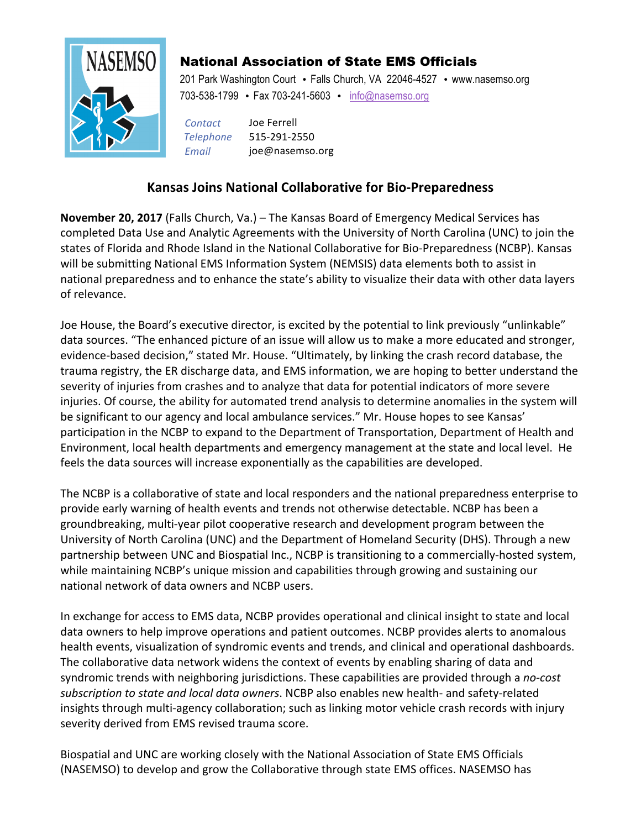

## National Association of State EMS Officials

201 Park Washington Court • Falls Church, VA 22046-4527 • www.nasemso.org 703-538-1799 • Fax 703-241-5603 • info@nasemso.org

*Contact* Joe Ferrell *Telephone* 515-291-2550 *Email* joe@nasemso.org

## **Kansas Joins National Collaborative for Bio-Preparedness**

**November 20, 2017** (Falls Church, Va.) – The Kansas Board of Emergency Medical Services has completed Data Use and Analytic Agreements with the University of North Carolina (UNC) to join the states of Florida and Rhode Island in the National Collaborative for Bio-Preparedness (NCBP). Kansas will be submitting National EMS Information System (NEMSIS) data elements both to assist in national preparedness and to enhance the state's ability to visualize their data with other data layers of relevance.

Joe House, the Board's executive director, is excited by the potential to link previously "unlinkable" data sources. "The enhanced picture of an issue will allow us to make a more educated and stronger, evidence-based decision," stated Mr. House. "Ultimately, by linking the crash record database, the trauma registry, the ER discharge data, and EMS information, we are hoping to better understand the severity of injuries from crashes and to analyze that data for potential indicators of more severe injuries. Of course, the ability for automated trend analysis to determine anomalies in the system will be significant to our agency and local ambulance services." Mr. House hopes to see Kansas' participation in the NCBP to expand to the Department of Transportation, Department of Health and Environment, local health departments and emergency management at the state and local level. He feels the data sources will increase exponentially as the capabilities are developed.

The NCBP is a collaborative of state and local responders and the national preparedness enterprise to provide early warning of health events and trends not otherwise detectable. NCBP has been a groundbreaking, multi-year pilot cooperative research and development program between the University of North Carolina (UNC) and the Department of Homeland Security (DHS). Through a new partnership between UNC and Biospatial Inc., NCBP is transitioning to a commercially-hosted system, while maintaining NCBP's unique mission and capabilities through growing and sustaining our national network of data owners and NCBP users.

In exchange for access to EMS data, NCBP provides operational and clinical insight to state and local data owners to help improve operations and patient outcomes. NCBP provides alerts to anomalous health events, visualization of syndromic events and trends, and clinical and operational dashboards. The collaborative data network widens the context of events by enabling sharing of data and syndromic trends with neighboring jurisdictions. These capabilities are provided through a *no-cost* subscription to state and local data owners. NCBP also enables new health- and safety-related insights through multi-agency collaboration; such as linking motor vehicle crash records with injury severity derived from EMS revised trauma score.

Biospatial and UNC are working closely with the National Association of State EMS Officials (NASEMSO) to develop and grow the Collaborative through state EMS offices. NASEMSO has